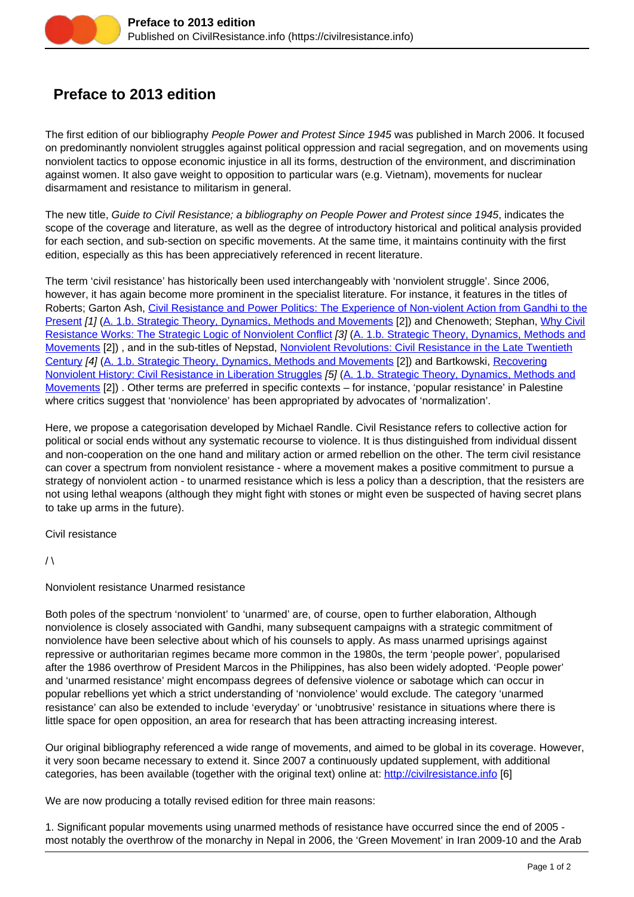## **Preface to 2013 edition**

The first edition of our bibliography People Power and Protest Since 1945 was published in March 2006. It focused on predominantly nonviolent struggles against political oppression and racial segregation, and on movements using nonviolent tactics to oppose economic injustice in all its forms, destruction of the environment, and discrimination against women. It also gave weight to opposition to particular wars (e.g. Vietnam), movements for nuclear disarmament and resistance to militarism in general.

The new title, Guide to Civil Resistance; a bibliography on People Power and Protest since 1945, indicates the scope of the coverage and literature, as well as the degree of introductory historical and political analysis provided for each section, and sub-section on specific movements. At the same time, it maintains continuity with the first edition, especially as this has been appreciatively referenced in recent literature.

The term 'civil resistance' has historically been used interchangeably with 'nonviolent struggle'. Since 2006, however, it has again become more prominent in the specialist literature. For instance, it features in the titles of Roberts; Garton Ash, [Civil Resistance and Power Politics: The Experience of Non-violent Action from Gandhi to the](https://civilresistance.info/biblio-item/2009/civil-resistance-and-power-politics-experience-non-violent-action-gandhi-present) [Present](https://civilresistance.info/biblio-item/2009/civil-resistance-and-power-politics-experience-non-violent-action-gandhi-present) [1] ([A. 1.b. Strategic Theory, Dynamics, Methods and Movements](https://civilresistance.info/section/introduction-nonviolent-action/1-theory-methods-and-examples/1b-strategic-theory-dynamics) [2]) and Chenoweth; Stephan, [Why Civil](https://civilresistance.info/biblio-item/2011/why-civil-resistance-works-strategic-logic-nonviolent-conflict) [Resistance Works: The Strategic Logic of Nonviolent Conflict](https://civilresistance.info/biblio-item/2011/why-civil-resistance-works-strategic-logic-nonviolent-conflict) [3] [\(A. 1.b. Strategic Theory, Dynamics, Methods and](https://civilresistance.info/section/introduction-nonviolent-action/1-theory-methods-and-examples/1b-strategic-theory-dynamics) [Movements](https://civilresistance.info/section/introduction-nonviolent-action/1-theory-methods-and-examples/1b-strategic-theory-dynamics) [2]) , and in the sub-titles of Nepstad, [Nonviolent Revolutions: Civil Resistance in the Late Twentieth](https://civilresistance.info/biblio-item/2011/nonviolent-revolutions-civil-resistance-late-twentieth-century) [Century](https://civilresistance.info/biblio-item/2011/nonviolent-revolutions-civil-resistance-late-twentieth-century) [4] ([A. 1.b. Strategic Theory, Dynamics, Methods and Movements](https://civilresistance.info/section/introduction-nonviolent-action/1-theory-methods-and-examples/1b-strategic-theory-dynamics) [2]) and Bartkowski, [Recovering](https://civilresistance.info/biblio-item/2013/recovering-nonviolent-history-civil-resistance-liberation-struggles) [Nonviolent History: Civil Resistance in Liberation Struggles](https://civilresistance.info/biblio-item/2013/recovering-nonviolent-history-civil-resistance-liberation-struggles) [5] ([A. 1.b. Strategic Theory, Dynamics, Methods and](https://civilresistance.info/section/introduction-nonviolent-action/1-theory-methods-and-examples/1b-strategic-theory-dynamics) [Movements](https://civilresistance.info/section/introduction-nonviolent-action/1-theory-methods-and-examples/1b-strategic-theory-dynamics) [2]) . Other terms are preferred in specific contexts – for instance, 'popular resistance' in Palestine where critics suggest that 'nonviolence' has been appropriated by advocates of 'normalization'.

Here, we propose a categorisation developed by Michael Randle. Civil Resistance refers to collective action for political or social ends without any systematic recourse to violence. It is thus distinguished from individual dissent and non-cooperation on the one hand and military action or armed rebellion on the other. The term civil resistance can cover a spectrum from nonviolent resistance - where a movement makes a positive commitment to pursue a strategy of nonviolent action - to unarmed resistance which is less a policy than a description, that the resisters are not using lethal weapons (although they might fight with stones or might even be suspected of having secret plans to take up arms in the future).

Civil resistance

 $/ \lambda$ 

## Nonviolent resistance Unarmed resistance

Both poles of the spectrum 'nonviolent' to 'unarmed' are, of course, open to further elaboration, Although nonviolence is closely associated with Gandhi, many subsequent campaigns with a strategic commitment of nonviolence have been selective about which of his counsels to apply. As mass unarmed uprisings against repressive or authoritarian regimes became more common in the 1980s, the term 'people power', popularised after the 1986 overthrow of President Marcos in the Philippines, has also been widely adopted. 'People power' and 'unarmed resistance' might encompass degrees of defensive violence or sabotage which can occur in popular rebellions yet which a strict understanding of 'nonviolence' would exclude. The category 'unarmed resistance' can also be extended to include 'everyday' or 'unobtrusive' resistance in situations where there is little space for open opposition, an area for research that has been attracting increasing interest.

Our original bibliography referenced a wide range of movements, and aimed to be global in its coverage. However, it very soon became necessary to extend it. Since 2007 a continuously updated supplement, with additional categories, has been available (together with the original text) online at: [http://civilresistance.info](https://civilresistance.info/) [6]

We are now producing a totally revised edition for three main reasons:

1. Significant popular movements using unarmed methods of resistance have occurred since the end of 2005 most notably the overthrow of the monarchy in Nepal in 2006, the 'Green Movement' in Iran 2009-10 and the Arab